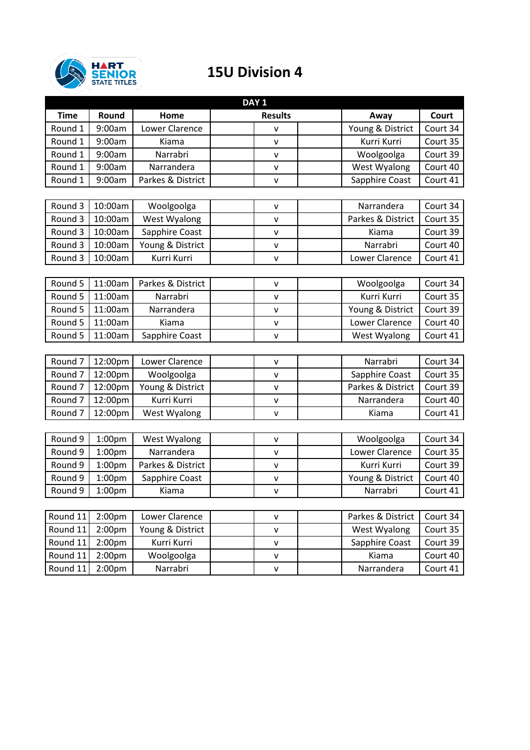

## **15U Division 4**

| DAY <sub>1</sub>   |                    |                   |                |                   |          |  |  |
|--------------------|--------------------|-------------------|----------------|-------------------|----------|--|--|
| <b>Time</b>        | Round              | Home              | <b>Results</b> | Away              | Court    |  |  |
| Round 1            | 9:00am             | Lower Clarence    | V              | Young & District  | Court 34 |  |  |
| Round 1            | 9:00am             | Kiama             | V              | Kurri Kurri       | Court 35 |  |  |
| Round 1            | 9:00am             | Narrabri          | v              | Woolgoolga        | Court 39 |  |  |
| Round 1            | 9:00am             | Narrandera        | $\mathsf{v}$   | West Wyalong      | Court 40 |  |  |
| Round 1            | 9:00am             | Parkes & District | v              | Sapphire Coast    | Court 41 |  |  |
|                    |                    |                   |                |                   |          |  |  |
| Round 3            | 10:00am            | Woolgoolga        | V              | Narrandera        | Court 34 |  |  |
| Round 3            | 10:00am            | West Wyalong      | V              | Parkes & District | Court 35 |  |  |
| Round 3            | 10:00am            | Sapphire Coast    | $\mathsf{v}$   | Kiama             | Court 39 |  |  |
| Round 3            | 10:00am            | Young & District  | v              | Narrabri          | Court 40 |  |  |
| Round 3            | 10:00am            | Kurri Kurri       | $\mathsf{v}$   | Lower Clarence    | Court 41 |  |  |
|                    |                    |                   |                |                   |          |  |  |
| Round 5            | 11:00am            | Parkes & District | v              | Woolgoolga        | Court 34 |  |  |
| Round 5            | 11:00am            | Narrabri          | $\mathsf{v}$   | Kurri Kurri       | Court 35 |  |  |
| Round 5            | 11:00am            | Narrandera        | v              | Young & District  | Court 39 |  |  |
| Round 5            | 11:00am            | Kiama             | V              | Lower Clarence    | Court 40 |  |  |
| Round 5            | 11:00am            | Sapphire Coast    | $\mathsf{v}$   | West Wyalong      | Court 41 |  |  |
|                    |                    |                   |                |                   |          |  |  |
| Round <sub>7</sub> | 12:00pm            | Lower Clarence    | v              | Narrabri          | Court 34 |  |  |
| Round <sub>7</sub> | 12:00pm            | Woolgoolga        | V              | Sapphire Coast    | Court 35 |  |  |
| Round <sub>7</sub> | 12:00pm            | Young & District  | V              | Parkes & District | Court 39 |  |  |
| Round <sub>7</sub> | 12:00pm            | Kurri Kurri       | v              | Narrandera        | Court 40 |  |  |
| Round <sub>7</sub> | 12:00pm            | West Wyalong      | $\mathsf{V}$   | Kiama             | Court 41 |  |  |
|                    |                    |                   |                |                   |          |  |  |
| Round 9            | 1:00 <sub>pm</sub> | West Wyalong      | V              | Woolgoolga        | Court 34 |  |  |
| Round 9            | 1:00 <sub>pm</sub> | Narrandera        | $\mathsf{v}$   | Lower Clarence    | Court 35 |  |  |
| Round 9            | 1:00pm             | Parkes & District | ۷              | Kurri Kurri       | Court 39 |  |  |
| Round 9            | 1:00pm             | Sapphire Coast    | V              | Young & District  | Court 40 |  |  |
| Round 9            | 1:00 <sub>pm</sub> | Kiama             | v              | Narrabri          | Court 41 |  |  |
|                    |                    |                   |                |                   |          |  |  |
| Round 11           | 2:00pm             | Lower Clarence    | V              | Parkes & District | Court 34 |  |  |
| Round 11           | 2:00pm             | Young & District  | v              | West Wyalong      | Court 35 |  |  |
| Round 11           | 2:00pm             | Kurri Kurri       | $\mathsf{v}$   | Sapphire Coast    | Court 39 |  |  |
| Round 11           | 2:00pm             | Woolgoolga        | v              | Kiama             | Court 40 |  |  |
| Round 11           | 2:00 <sub>pm</sub> | Narrabri          | ۷              | Narrandera        | Court 41 |  |  |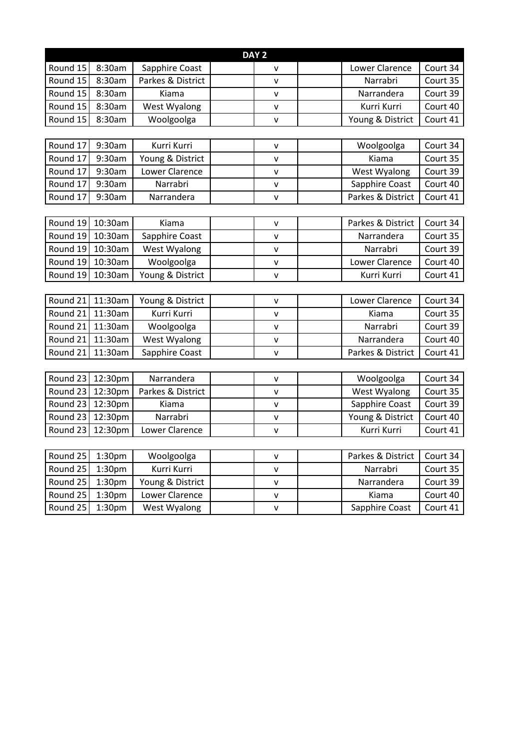| DAY <sub>2</sub> |                    |                   |              |                       |          |  |
|------------------|--------------------|-------------------|--------------|-----------------------|----------|--|
| Round 15         | 8:30am             | Sapphire Coast    | v            | Lower Clarence        | Court 34 |  |
| Round 15         | 8:30am             | Parkes & District | $\mathsf{v}$ | Narrabri              | Court 35 |  |
| Round 15         | 8:30am             | Kiama             | v            | Narrandera            | Court 39 |  |
| Round 15         | 8:30am             | West Wyalong      | V            | Kurri Kurri           | Court 40 |  |
| Round 15         | 8:30am             | Woolgoolga        | v            | Young & District      | Court 41 |  |
|                  |                    |                   |              |                       |          |  |
| Round 17         | 9:30am             | Kurri Kurri       | $\mathsf{v}$ | Woolgoolga            | Court 34 |  |
| Round 17         | 9:30am             | Young & District  | v            | Kiama                 | Court 35 |  |
| Round 17         | 9:30am             | Lower Clarence    | v            | West Wyalong          | Court 39 |  |
| Round 17         | 9:30am             | Narrabri          | $\mathsf{v}$ | Sapphire Coast        | Court 40 |  |
| Round 17         | 9:30am             | Narrandera        | $\mathsf{v}$ | Parkes & District     | Court 41 |  |
|                  |                    |                   |              |                       |          |  |
| Round 19         | 10:30am            | Kiama             | V            | Parkes & District     | Court 34 |  |
| Round 19         | 10:30am            | Sapphire Coast    | v            | Narrandera            | Court 35 |  |
| Round 19         | 10:30am            | West Wyalong      | V            | Narrabri              | Court 39 |  |
| Round 19         | 10:30am            | Woolgoolga        | V            | Lower Clarence        | Court 40 |  |
| Round 19         | 10:30am            | Young & District  | v            | Kurri Kurri           | Court 41 |  |
|                  |                    |                   |              |                       |          |  |
| Round 21         | 11:30am            | Young & District  | v            | <b>Lower Clarence</b> | Court 34 |  |
| Round 21         | 11:30am            | Kurri Kurri       | v            | Kiama                 | Court 35 |  |
| Round 21         | 11:30am            | Woolgoolga        | v            | Narrabri              | Court 39 |  |
| Round 21         | 11:30am            | West Wyalong      | $\mathsf{v}$ | Narrandera            | Court 40 |  |
| Round 21         | 11:30am            | Sapphire Coast    | $\mathsf{v}$ | Parkes & District     | Court 41 |  |
|                  |                    |                   |              |                       |          |  |
| Round 23         | 12:30pm            | Narrandera        | v            | Woolgoolga            | Court 34 |  |
| Round 23         | 12:30pm            | Parkes & District | $\mathsf{v}$ | West Wyalong          | Court 35 |  |
| Round 23         | 12:30pm            | Kiama             | v            | Sapphire Coast        | Court 39 |  |
| Round 23         | 12:30pm            | Narrabri          | V            | Young & District      | Court 40 |  |
| Round 23         | 12:30pm            | Lower Clarence    | $\mathsf{v}$ | Kurri Kurri           | Court 41 |  |
|                  |                    |                   |              |                       |          |  |
| Round 25         | 1:30pm             | Woolgoolga        | v            | Parkes & District     | Court 34 |  |
| Round 25         | 1:30pm             | Kurri Kurri       | V            | Narrabri              | Court 35 |  |
| Round 25         | 1:30 <sub>pm</sub> | Young & District  | V            | Narrandera            | Court 39 |  |
| Round 25         | 1:30pm             | Lower Clarence    | $\mathsf{V}$ | Kiama                 | Court 40 |  |
| Round 25         | 1:30pm             | West Wyalong      | V            | Sapphire Coast        | Court 41 |  |